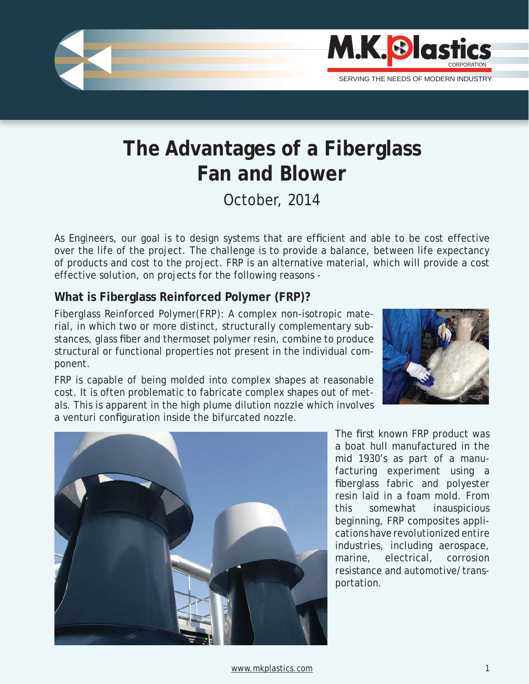

# **The Advantages of a Fiberglass Fan and Blower**

October, 2014

As Engineers, our goal is to design systems that are efficient and able to be cost effective over the life of the project. The challenge is to provide a balance, between life expectancy of products and cost to the project. FRP is an alternative material, which will provide a cost effective solution, on projects for the following reasons -

## **What is Fiberglass Reinforced Polymer (FRP)?**

Fiberglass Reinforced Polymer(FRP): A complex non-isotropic material, in which two or more distinct, structurally complementary substances, glass fiber and thermoset polymer resin, combine to produce structural or functional properties not present in the individual component.

FRP is capable of being molded into complex shapes at reasonable cost. It is often problematic to fabricate complex shapes out of metals. This is apparent in the high plume dilution nozzle which involves a venturi configuration inside the bifurcated nozzle.





The first known FRP product was a boat hull manufactured in the mid 1930's as part of a manufacturing experiment using a fiberglass fabric and polyester resin laid in a foam mold. From this somewhat inauspicious beginning, FRP composites applications have revolutionized entire industries, including aerospace, marine, electrical, corrosion resistance and automotive/transportation.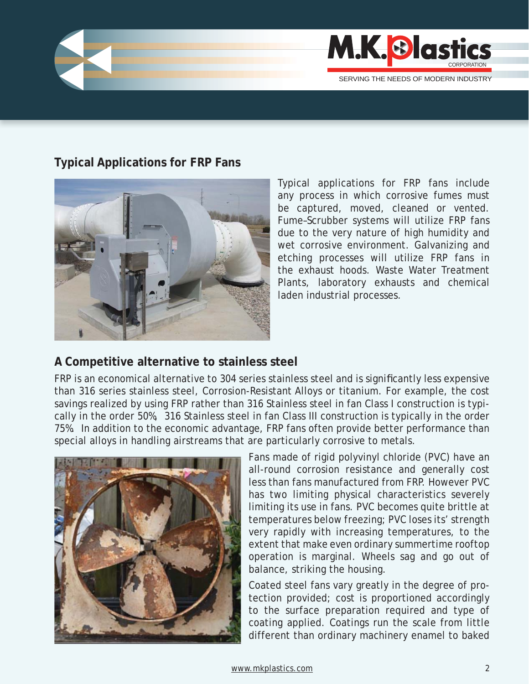

## **Typical Applications for FRP Fans**



Typical applications for FRP fans include any process in which corrosive fumes must be captured, moved, cleaned or vented. Fume–Scrubber systems will utilize FRP fans due to the very nature of high humidity and wet corrosive environment. Galvanizing and etching processes will utilize FRP fans in the exhaust hoods. Waste Water Treatment Plants, laboratory exhausts and chemical laden industrial processes.

## **A Competitive alternative to stainless steel**

FRP is an economical alternative to 304 series stainless steel and is significantly less expensive than 316 series stainless steel, Corrosion-Resistant Alloys or titanium. For example, the cost savings realized by using FRP rather than 316 Stainless steel in fan Class I construction is typically in the order 50%, 316 Stainless steel in fan Class III construction is typically in the order 75%. In addition to the economic advantage, FRP fans often provide better performance than special alloys in handling airstreams that are particularly corrosive to metals.



Fans made of rigid polyvinyl chloride (PVC) have an all-round corrosion resistance and generally cost less than fans manufactured from FRP. However PVC has two limiting physical characteristics severely limiting its use in fans. PVC becomes quite brittle at temperatures below freezing; PVC loses its' strength very rapidly with increasing temperatures, to the extent that make even ordinary summertime rooftop operation is marginal. Wheels sag and go out of balance, striking the housing.

Coated steel fans vary greatly in the degree of protection provided; cost is proportioned accordingly to the surface preparation required and type of coating applied. Coatings run the scale from little different than ordinary machinery enamel to baked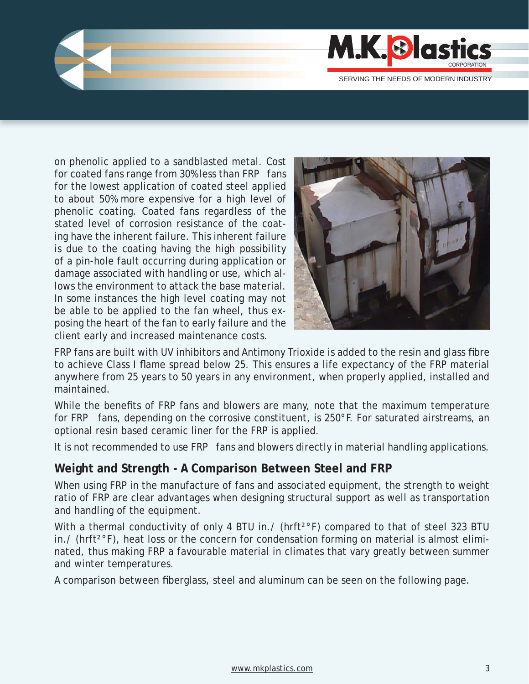

on phenolic applied to a sandblasted metal. Cost for coated fans range from 30% less than FRP fans for the lowest application of coated steel applied to about 50% more expensive for a high level of phenolic coating. Coated fans regardless of the stated level of corrosion resistance of the coating have the inherent failure. This inherent failure is due to the coating having the high possibility of a pin-hole fault occurring during application or damage associated with handling or use, which allows the environment to attack the base material. In some instances the high level coating may not be able to be applied to the fan wheel, thus exposing the heart of the fan to early failure and the client early and increased maintenance costs.



FRP fans are built with UV inhibitors and Antimony Trioxide is added to the resin and glass fibre to achieve Class I flame spread below 25. This ensures a life expectancy of the FRP material anywhere from 25 years to 50 years in any environment, when properly applied, installed and maintained.

While the benefits of FRP fans and blowers are many, note that the maximum temperature for FRP fans, depending on the corrosive constituent, is 250°F. For saturated airstreams, an optional resin based ceramic liner for the FRP is applied.

It is not recommended to use FRP fans and blowers directly in material handling applications.

### **Weight and Strength - A Comparison Between Steel and FRP**

When using FRP in the manufacture of fans and associated equipment, the strength to weight ratio of FRP are clear advantages when designing structural support as well as transportation and handling of the equipment.

With a thermal conductivity of only 4 BTU in./ (hrft<sup>2°</sup>F) compared to that of steel 323 BTU  $\ln$ . (hrft<sup>2°</sup>F), heat loss or the concern for condensation forming on material is almost eliminated, thus making FRP a favourable material in climates that vary greatly between summer and winter temperatures.

A comparison between fiberglass, steel and aluminum can be seen on the following page.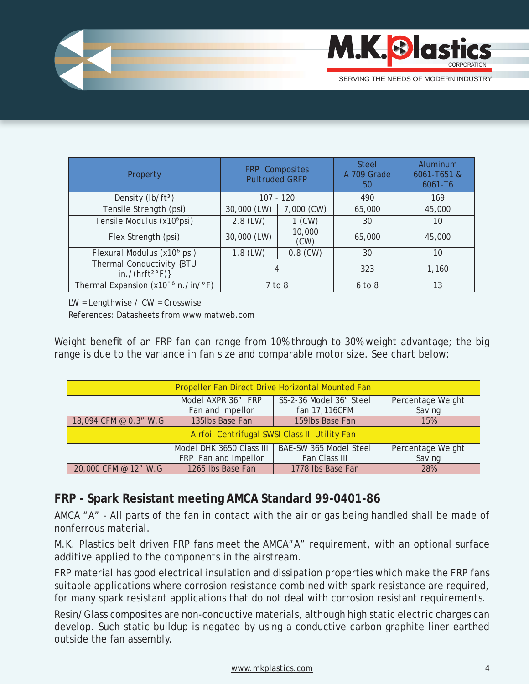

| Property                                          | FRP Composites<br><b>Pultruded GRFP</b> |                | <b>Steel</b><br>A 709 Grade<br>50 | Aluminum<br>6061-T651 &<br>$6061 - T6$ |
|---------------------------------------------------|-----------------------------------------|----------------|-----------------------------------|----------------------------------------|
| Density (lb/ft <sup>3</sup> )                     | $107 - 120$                             |                | 490                               | 169                                    |
| Tensile Strength (psi)                            | 30,000 (LW)                             | 7,000 (CW)     | 65,000                            | 45,000                                 |
| Tensile Modulus (x10 <sup>6</sup> psi)            | $2.8$ (LW)                              | $1$ (CW)       | 30                                | 10                                     |
| Flex Strength (psi)                               | 30,000 (LW)                             | 10,000<br>(CW) | 65,000                            | 45,000                                 |
| Flexural Modulus (x10 <sup>6</sup> psi)           | $1.8$ (LW)                              | $0.8$ (CW)     | 30                                | 10                                     |
| Thermal Conductivity {BTU<br>in./( $hrft^{2}$ F)} | 4                                       |                | 323                               | 1,160                                  |
| Thermal Expansion (x10 <sup>-6</sup> in./in/°F)   | $7$ to $8$                              |                | $6$ to $8$                        | 13                                     |

 $LW =$  Lengthwise /  $CW =$  Crosswise

References: Datasheets from www.matweb.com

Weight benefit of an FRP fan can range from 10% through to 30% weight advantage; the big range is due to the variance in fan size and comparable motor size. See chart below:

| <b>Propeller Fan Direct Drive Horizontal Mounted Fan</b> |                          |                         |                   |  |  |  |
|----------------------------------------------------------|--------------------------|-------------------------|-------------------|--|--|--|
|                                                          | Model AXPR 36" FRP       | SS-2-36 Model 36" Steel | Percentage Weight |  |  |  |
|                                                          | Fan and Impellor         | fan 17,116CFM           | Saving            |  |  |  |
| 18,094 CFM @ 0.3" W.G                                    | 135lbs Base Fan          | 159lbs Base Fan         | 15%               |  |  |  |
| Airfoil Centrifugal SWSI Class III Utility Fan           |                          |                         |                   |  |  |  |
|                                                          | Model DHK 3650 Class III | BAE-SW 365 Model Steel  | Percentage Weight |  |  |  |
|                                                          | FRP Fan and Impellor     | Fan Class III           | Saving            |  |  |  |
| 20,000 CFM @ 12" W.G                                     | 1265 Ibs Base Fan        | 1778 Ibs Base Fan       | 28%               |  |  |  |

## **FRP - Spark Resistant meeting AMCA Standard 99-0401-86**

AMCA "A" - All parts of the fan in contact with the air or gas being handled shall be made of nonferrous material.

M.K. Plastics belt driven FRP fans meet the AMCA"A" requirement, with an optional surface additive applied to the components in the airstream.

FRP material has good electrical insulation and dissipation properties which make the FRP fans suitable applications where corrosion resistance combined with spark resistance are required, for many spark resistant applications that do not deal with corrosion resistant requirements.

Resin/Glass composites are non-conductive materials, although high static electric charges can develop. Such static buildup is negated by using a conductive carbon graphite liner earthed outside the fan assembly.